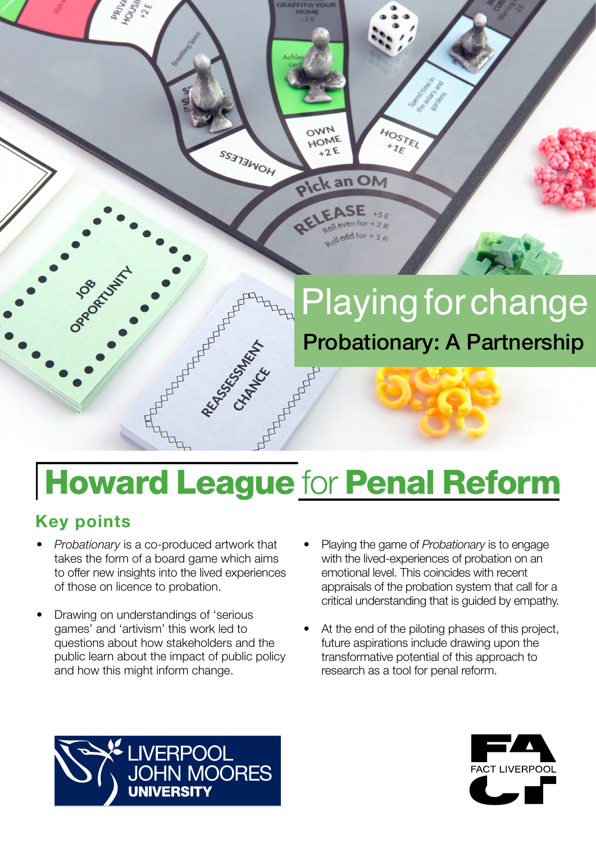

# **Howard League for Penal Reform**

# **Key points**

- *Probationary* is a co-produced artwork that takes the form of a board game which aims to offer new insights into the lived experiences of those on licence to probation.
- Drawing on understandings of 'serious games' and 'artivism' this work led to questions about how stakeholders and the public learn about the impact of public policy and how this might inform change.
- Playing the game of *Probationary* is to engage with the lived-experiences of probation on an emotional level. This coincides with recent appraisals of the probation system that call for a critical understanding that is guided by empathy.
- At the end of the piloting phases of this project, future aspirations include drawing upon the transformative potential of this approach to research as a tool for penal reform.



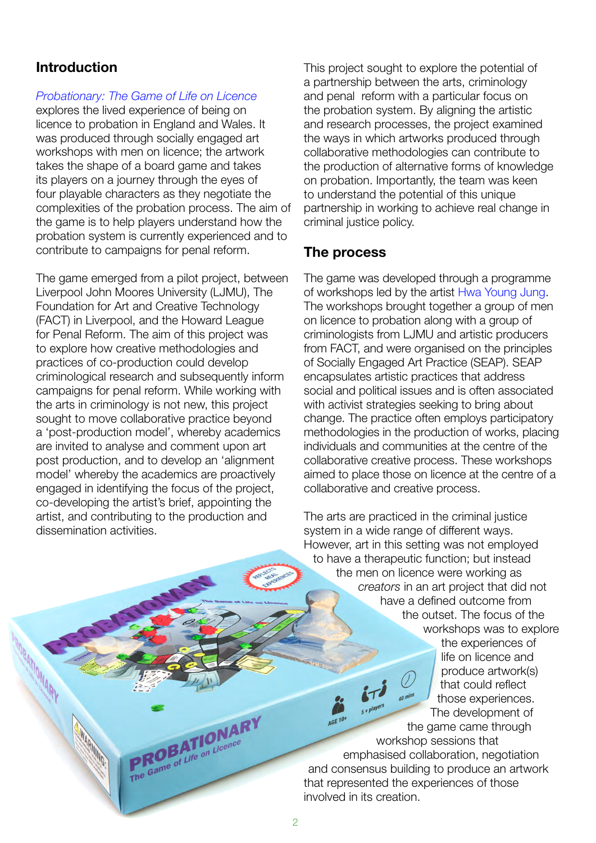## **Introduction**

#### *[Probationary:](https://howardleague.org/research/probationary-the-game-of-life-on-licence/) The Game of Life on Licence*

explores the lived experience of being on licence to probation in England and Wales. It was produced through socially engaged art workshops with men on licence; the artwork takes the shape of a board game and takes its players on a journey through the eyes of four playable characters as they negotiate the complexities of the probation process. The aim of the game is to help players understand how the probation system is currently experienced and to contribute to campaigns for penal reform.

The game emerged from a pilot project, between Liverpool John Moores University (LJMU), The Foundation for Art and Creative Technology (FACT) in Liverpool, and the Howard League for Penal Reform. The aim of this project was to explore how creative methodologies and practices of co-production could develop criminological research and subsequently inform campaigns for penal reform. While working with the arts in criminology is not new, this project sought to move collaborative practice beyond a 'post-production model', whereby academics are invited to analyse and comment upon art post production, and to develop an 'alignment model' whereby the academics are proactively engaged in identifying the focus of the project, co-developing the artist's brief, appointing the artist, and contributing to the production and dissemination activities.

> PROBATIONARY **PROBATIONAL**

This project sought to explore the potential of a partnership between the arts, criminology and penal reform with a particular focus on the probation system. By aligning the artistic and research processes, the project examined the ways in which artworks produced through collaborative methodologies can contribute to the production of alternative forms of knowledge on probation. Importantly, the team was keen to understand the potential of this unique partnership in working to achieve real change in criminal justice policy.

#### **The process**

The game was developed through a programme of workshops led by the artist [Hwa Young Jung.](http://slyrabbit.net) The workshops brought together a group of men on licence to probation along with a group of criminologists from LJMU and artistic producers from FACT, and were organised on the principles of Socially Engaged Art Practice (SEAP). SEAP encapsulates artistic practices that address social and political issues and is often associated with activist strategies seeking to bring about change. The practice often employs participatory methodologies in the production of works, placing individuals and communities at the centre of the collaborative creative process. These workshops aimed to place those on licence at the centre of a collaborative and creative process.

The arts are practiced in the criminal justice system in a wide range of different ways. However, art in this setting was not employed to have a therapeutic function; but instead the men on licence were working as *creators* in an art project that did not have a defined outcome from the outset. The focus of the workshops was to explore the experiences of life on licence and produce artwork(s) that could reflect those experiences. The development of the game came through workshop sessions that emphasised collaboration, negotiation and consensus building to produce an artwork that represented the experiences of those involved in its creation.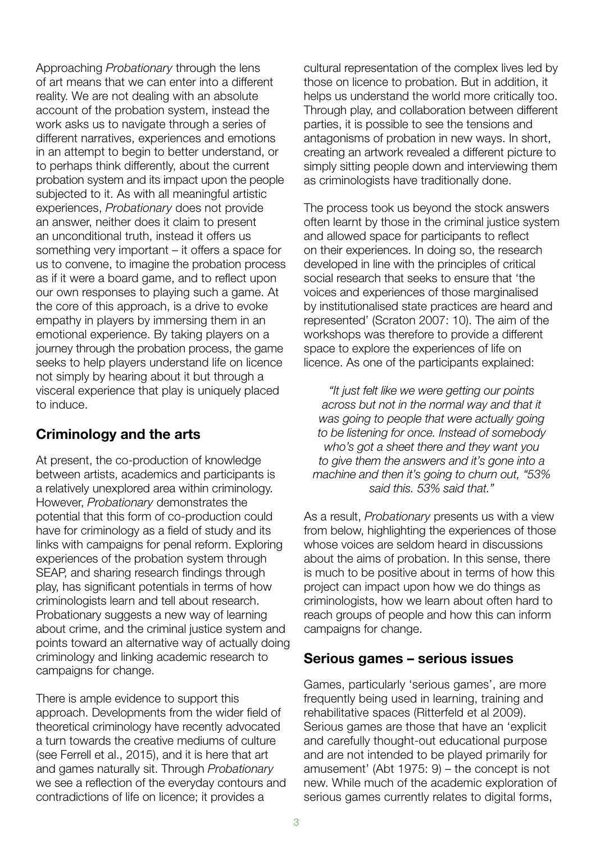Approaching *Probationary* through the lens of art means that we can enter into a different reality. We are not dealing with an absolute account of the probation system, instead the work asks us to navigate through a series of different narratives, experiences and emotions in an attempt to begin to better understand, or to perhaps think differently, about the current probation system and its impact upon the people subjected to it. As with all meaningful artistic experiences, *Probationary* does not provide an answer, neither does it claim to present an unconditional truth, instead it offers us something very important – it offers a space for us to convene, to imagine the probation process as if it were a board game, and to reflect upon our own responses to playing such a game. At the core of this approach, is a drive to evoke empathy in players by immersing them in an emotional experience. By taking players on a journey through the probation process, the game seeks to help players understand life on licence not simply by hearing about it but through a visceral experience that play is uniquely placed to induce.

# **Criminology and the arts**

At present, the co-production of knowledge between artists, academics and participants is a relatively unexplored area within criminology. However, *Probationary* demonstrates the potential that this form of co-production could have for criminology as a field of study and its links with campaigns for penal reform. Exploring experiences of the probation system through SEAP, and sharing research findings through play, has significant potentials in terms of how criminologists learn and tell about research. Probationary suggests a new way of learning about crime, and the criminal justice system and points toward an alternative way of actually doing criminology and linking academic research to campaigns for change.

There is ample evidence to support this approach. Developments from the wider field of theoretical criminology have recently advocated a turn towards the creative mediums of culture (see Ferrell et al., 2015), and it is here that art and games naturally sit. Through *Probationary* we see a reflection of the everyday contours and contradictions of life on licence; it provides a

cultural representation of the complex lives led by those on licence to probation. But in addition, it helps us understand the world more critically too. Through play, and collaboration between different parties, it is possible to see the tensions and antagonisms of probation in new ways. In short, creating an artwork revealed a different picture to simply sitting people down and interviewing them as criminologists have traditionally done.

The process took us beyond the stock answers often learnt by those in the criminal justice system and allowed space for participants to reflect on their experiences. In doing so, the research developed in line with the principles of critical social research that seeks to ensure that 'the voices and experiences of those marginalised by institutionalised state practices are heard and represented' (Scraton 2007: 10). The aim of the workshops was therefore to provide a different space to explore the experiences of life on licence. As one of the participants explained:

*"It just felt like we were getting our points across but not in the normal way and that it was going to people that were actually going to be listening for once. Instead of somebody who's got a sheet there and they want you to give them the answers and it's gone into a machine and then it's going to churn out, "53% said this. 53% said that."*

As a result, *Probationary* presents us with a view from below, highlighting the experiences of those whose voices are seldom heard in discussions about the aims of probation. In this sense, there is much to be positive about in terms of how this project can impact upon how we do things as criminologists, how we learn about often hard to reach groups of people and how this can inform campaigns for change.

#### **Serious games – serious issues**

Games, particularly 'serious games', are more frequently being used in learning, training and rehabilitative spaces (Ritterfeld et al 2009). Serious games are those that have an 'explicit and carefully thought-out educational purpose and are not intended to be played primarily for amusement' (Abt 1975: 9) – the concept is not new. While much of the academic exploration of serious games currently relates to digital forms,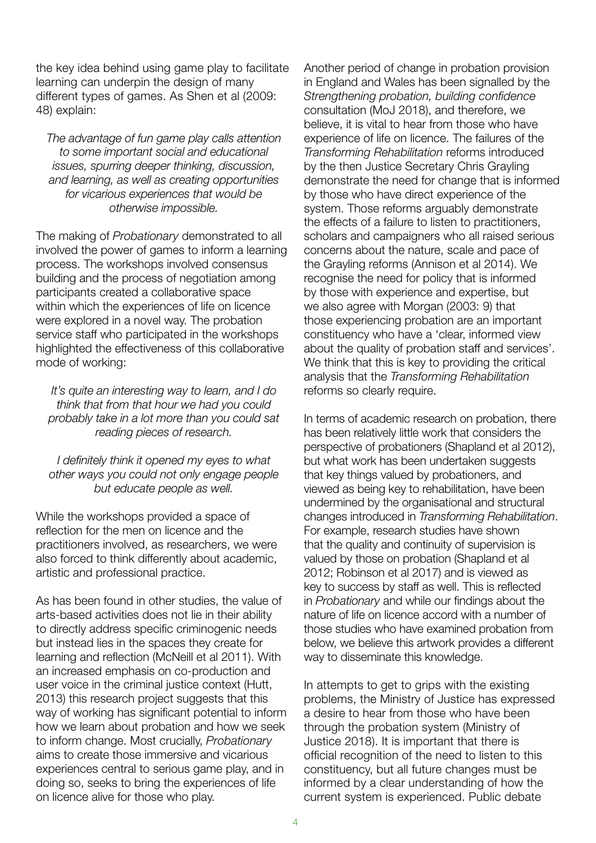the key idea behind using game play to facilitate learning can underpin the design of many different types of games. As Shen et al (2009: 48) explain:

*The advantage of fun game play calls attention to some important social and educational issues, spurring deeper thinking, discussion, and learning, as well as creating opportunities for vicarious experiences that would be otherwise impossible.*

The making of *Probationary* demonstrated to all involved the power of games to inform a learning process. The workshops involved consensus building and the process of negotiation among participants created a collaborative space within which the experiences of life on licence were explored in a novel way. The probation service staff who participated in the workshops highlighted the effectiveness of this collaborative mode of working:

*It's quite an interesting way to learn, and I do think that from that hour we had you could probably take in a lot more than you could sat reading pieces of research.*

*I definitely think it opened my eyes to what other ways you could not only engage people but educate people as well.*

While the workshops provided a space of reflection for the men on licence and the practitioners involved, as researchers, we were also forced to think differently about academic, artistic and professional practice.

As has been found in other studies, the value of arts-based activities does not lie in their ability to directly address specific criminogenic needs but instead lies in the spaces they create for learning and reflection (McNeill et al 2011). With an increased emphasis on co-production and user voice in the criminal justice context (Hutt, 2013) this research project suggests that this way of working has significant potential to inform how we learn about probation and how we seek to inform change. Most crucially, *Probationary* aims to create those immersive and vicarious experiences central to serious game play, and in doing so, seeks to bring the experiences of life on licence alive for those who play.

Another period of change in probation provision in England and Wales has been signalled by the *Strengthening probation, building confidence* consultation (MoJ 2018), and therefore, we believe, it is vital to hear from those who have experience of life on licence. The failures of the *Transforming Rehabilitation* reforms introduced by the then Justice Secretary Chris Grayling demonstrate the need for change that is informed by those who have direct experience of the system. Those reforms arguably demonstrate the effects of a failure to listen to practitioners, scholars and campaigners who all raised serious concerns about the nature, scale and pace of the Grayling reforms (Annison et al 2014). We recognise the need for policy that is informed by those with experience and expertise, but we also agree with Morgan (2003: 9) that those experiencing probation are an important constituency who have a 'clear, informed view about the quality of probation staff and services'. We think that this is key to providing the critical analysis that the *Transforming Rehabilitation* reforms so clearly require.

In terms of academic research on probation, there has been relatively little work that considers the perspective of probationers (Shapland et al 2012), but what work has been undertaken suggests that key things valued by probationers, and viewed as being key to rehabilitation, have been undermined by the organisational and structural changes introduced in *Transforming Rehabilitation*. For example, research studies have shown that the quality and continuity of supervision is valued by those on probation (Shapland et al 2012; Robinson et al 2017) and is viewed as key to success by staff as well. This is reflected in *Probationary* and while our findings about the nature of life on licence accord with a number of those studies who have examined probation from below, we believe this artwork provides a different way to disseminate this knowledge.

In attempts to get to grips with the existing problems, the Ministry of Justice has expressed a desire to hear from those who have been through the probation system (Ministry of Justice 2018). It is important that there is official recognition of the need to listen to this constituency, but all future changes must be informed by a clear understanding of how the current system is experienced. Public debate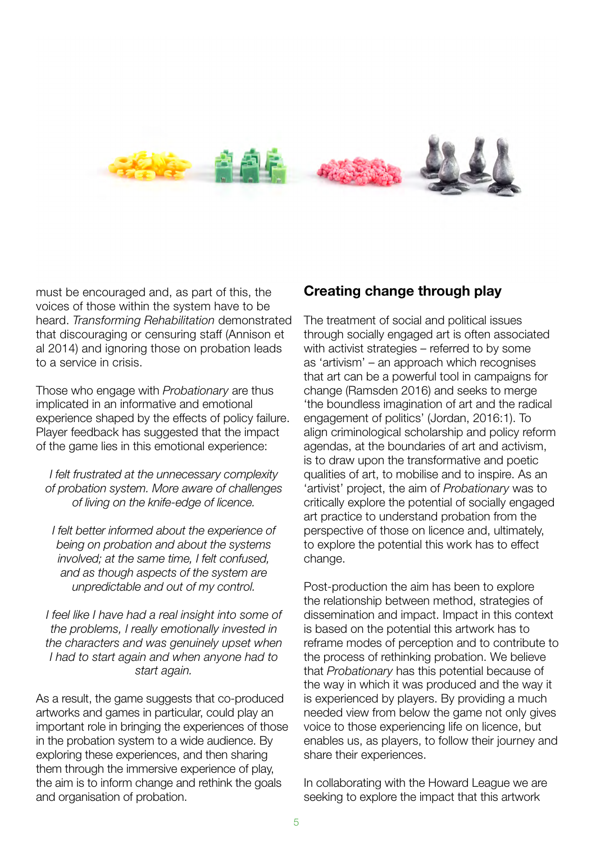

must be encouraged and, as part of this, the voices of those within the system have to be heard. *Transforming Rehabilitation* demonstrated that discouraging or censuring staff (Annison et al 2014) and ignoring those on probation leads to a service in crisis.

Those who engage with *Probationary* are thus implicated in an informative and emotional experience shaped by the effects of policy failure. Player feedback has suggested that the impact of the game lies in this emotional experience:

*I felt frustrated at the unnecessary complexity of probation system. More aware of challenges of living on the knife-edge of licence.*

*I felt better informed about the experience of being on probation and about the systems involved; at the same time, I felt confused, and as though aspects of the system are unpredictable and out of my control.*

*I feel like I have had a real insight into some of the problems, I really emotionally invested in the characters and was genuinely upset when I had to start again and when anyone had to start again.*

As a result, the game suggests that co-produced artworks and games in particular, could play an important role in bringing the experiences of those in the probation system to a wide audience. By exploring these experiences, and then sharing them through the immersive experience of play, the aim is to inform change and rethink the goals and organisation of probation.

# **Creating change through play**

The treatment of social and political issues through socially engaged art is often associated with activist strategies – referred to by some as 'artivism' – an approach which recognises that art can be a powerful tool in campaigns for change (Ramsden 2016) and seeks to merge 'the boundless imagination of art and the radical engagement of politics' (Jordan, 2016:1). To align criminological scholarship and policy reform agendas, at the boundaries of art and activism, is to draw upon the transformative and poetic qualities of art, to mobilise and to inspire. As an 'artivist' project, the aim of *Probationary* was to critically explore the potential of socially engaged art practice to understand probation from the perspective of those on licence and, ultimately, to explore the potential this work has to effect change.

Post-production the aim has been to explore the relationship between method, strategies of dissemination and impact. Impact in this context is based on the potential this artwork has to reframe modes of perception and to contribute to the process of rethinking probation. We believe that *Probationary* has this potential because of the way in which it was produced and the way it is experienced by players. By providing a much needed view from below the game not only gives voice to those experiencing life on licence, but enables us, as players, to follow their journey and share their experiences.

In collaborating with the Howard League we are seeking to explore the impact that this artwork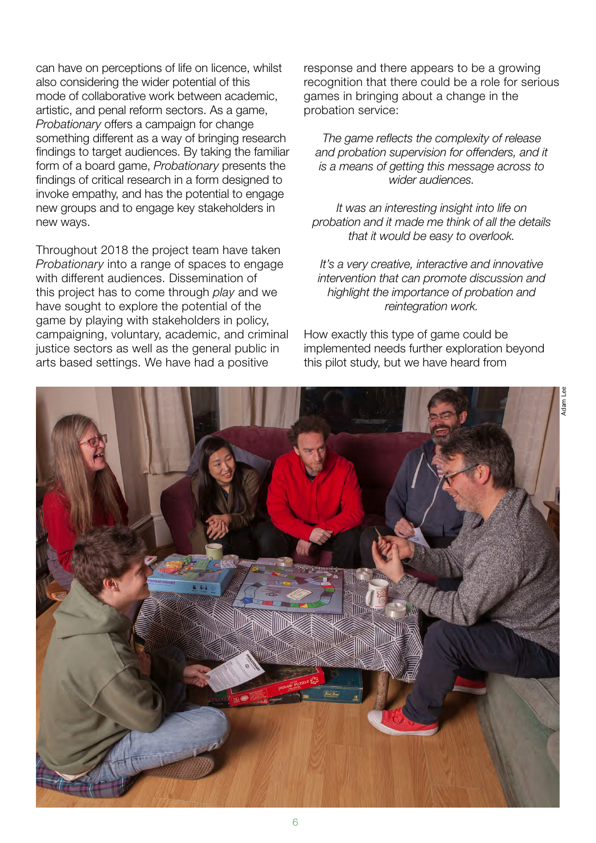can have on perceptions of life on licence, whilst also considering the wider potential of this mode of collaborative work between academic, artistic, and penal reform sectors. As a game, *Probationary* offers a campaign for change something different as a way of bringing research findings to target audiences. By taking the familiar form of a board game, *Probationary* presents the findings of critical research in a form designed to invoke empathy, and has the potential to engage new groups and to engage key stakeholders in new ways.

Throughout 2018 the project team have taken *Probationary* into a range of spaces to engage with different audiences. Dissemination of this project has to come through *play* and we have sought to explore the potential of the game by playing with stakeholders in policy, campaigning, voluntary, academic, and criminal justice sectors as well as the general public in arts based settings. We have had a positive

response and there appears to be a growing recognition that there could be a role for serious games in bringing about a change in the probation service:

*The game reflects the complexity of release and probation supervision for offenders, and it is a means of getting this message across to wider audiences.*

*It was an interesting insight into life on probation and it made me think of all the details that it would be easy to overlook.*

*It's a very creative, interactive and innovative intervention that can promote discussion and highlight the importance of probation and reintegration work.*

How exactly this type of game could be implemented needs further exploration beyond this pilot study, but we have heard from

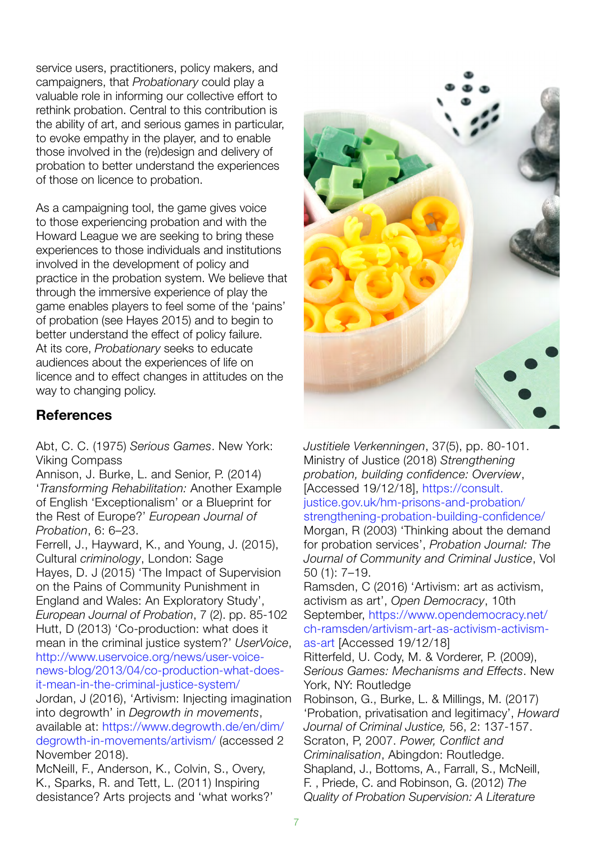service users, practitioners, policy makers, and campaigners, that *Probationary* could play a valuable role in informing our collective effort to rethink probation. Central to this contribution is the ability of art, and serious games in particular, to evoke empathy in the player, and to enable those involved in the (re)design and delivery of probation to better understand the experiences of those on licence to probation.

As a campaigning tool, the game gives voice to those experiencing probation and with the Howard League we are seeking to bring these experiences to those individuals and institutions involved in the development of policy and practice in the probation system. We believe that through the immersive experience of play the game enables players to feel some of the 'pains' of probation (see Hayes 2015) and to begin to better understand the effect of policy failure. At its core, *Probationary* seeks to educate audiences about the experiences of life on licence and to effect changes in attitudes on the way to changing policy.

#### **References**

Abt, C. C. (1975) *Serious Games*. New York: Viking Compass

Annison, J. Burke, L. and Senior, P. (2014) '*Transforming Rehabilitation:* Another Example of English 'Exceptionalism' or a Blueprint for the Rest of Europe?' *European Journal of Probation*, 6: 6–23.

Ferrell, J., Hayward, K., and Young, J. (2015), Cultural *criminology*, London: Sage Hayes, D. J (2015) 'The Impact of Supervision on the Pains of Community Punishment in England and Wales: An Exploratory Study', *European Journal of Probation*, 7 (2). pp. 85-102 Hutt, D (2013) 'Co-production: what does it mean in the criminal justice system?' *UserVoice*, [http://www.uservoice.org/news/user-voice](http://www.uservoice.org/news/user-voice-news-blog/2013/04/co-production-what-does-it-mean-in-the-criminal-justice-system/)[news-blog/2013/04/co-production-what-does](http://www.uservoice.org/news/user-voice-news-blog/2013/04/co-production-what-does-it-mean-in-the-criminal-justice-system/)[it-mean-in-the-criminal-justice-system/](http://www.uservoice.org/news/user-voice-news-blog/2013/04/co-production-what-does-it-mean-in-the-criminal-justice-system/) Jordan, J (2016), 'Artivism: Injecting imagination into degrowth' in *Degrowth in movements*, available at: [https://www.degrowth.de/en/dim/](https://www.degrowth.info/en/dim/degrowth-in-movements/artivism/) [degrowth-in-movements/artivism/](https://www.degrowth.info/en/dim/degrowth-in-movements/artivism/) (accessed 2

November 2018).

McNeill, F., Anderson, K., Colvin, S., Overy, K., Sparks, R. and Tett, L. (2011) Inspiring desistance? Arts projects and 'what works?'



*Justitiele Verkenningen*, 37(5), pp. 80-101. Ministry of Justice (2018) *Strengthening probation, building confidence: Overview*, [Accessed 19/12/18], [https://consult.](https://consult.justice.gov.uk/hm-prisons-and-probation/strengthening-probation-building-confidence/) [justice.gov.uk/hm-prisons-and-probation/](https://consult.justice.gov.uk/hm-prisons-and-probation/strengthening-probation-building-confidence/) [strengthening-probation-building-confidence/](https://consult.justice.gov.uk/hm-prisons-and-probation/strengthening-probation-building-confidence/)  Morgan, R (2003) 'Thinking about the demand for probation services', *Probation Journal: The Journal of Community and Criminal Justice*, Vol 50 (1): 7–19.

Ramsden, C (2016) 'Artivism: art as activism, activism as art', *Open Democracy*, 10th September, [https://www.opendemocracy.net/](https://www.opendemocracy.net/en/5050/artivism-art-as-activism-activism-as-art/) [ch-ramsden/artivism-art-as-activism-activism](https://www.opendemocracy.net/en/5050/artivism-art-as-activism-activism-as-art/)[as-art](https://www.opendemocracy.net/en/5050/artivism-art-as-activism-activism-as-art/) [Accessed 19/12/18]

Ritterfeld, U. Cody, M. & Vorderer, P. (2009), *Serious Games: Mechanisms and Effects*. New York, NY: Routledge

Robinson, G., Burke, L. & Millings, M. (2017) 'Probation, privatisation and legitimacy', *Howard Journal of Criminal Justice,* 56, 2: 137-157. Scraton, P, 2007. *Power, Conflict and Criminalisation*, Abingdon: Routledge. Shapland, J., Bottoms, A., Farrall, S., McNeill, F. , Priede, C. and Robinson, G. (2012) *The Quality of Probation Supervision: A Literature*